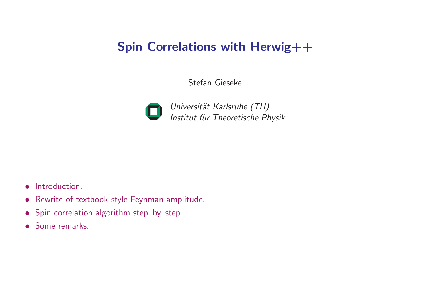# Spin Correlations with Herwig++

Stefan Gieseke



Universität Karlsruhe (TH) Institut für Theoretische Physik

- Introduction.
- Rewrite of textbook style Feynman amplitude.
- Spin correlation algorithm step–by–step.
- Some remarks.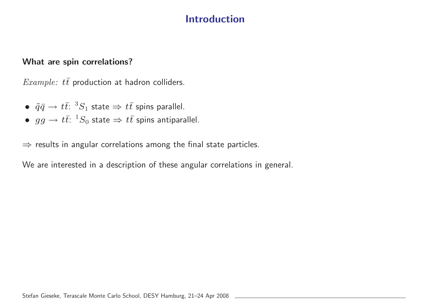### Introduction

#### What are spin correlations?

Example:  $t\bar{t}$  production at hadron colliders.

- $\tilde{q}\bar{q} \rightarrow t\bar{t}$ :  ${}^3S_1$  state  $\Rightarrow t\bar{t}$  spins parallel.
- $gg \to t\bar{t}$ :  ${}^1S_0$  state  $\Rightarrow t\bar{t}$  spins antiparallel.

 $\Rightarrow$  results in angular correlations among the final state particles.

We are interested in <sup>a</sup> description of these angular correlations in general.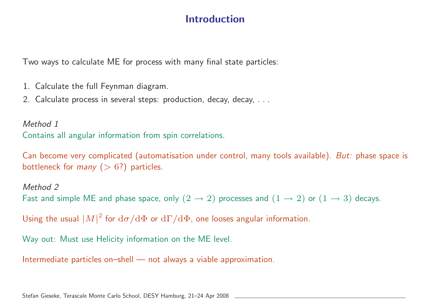### Introduction

Two ways to calculate ME for process with many final state particles:

- 1. Calculate the full Feynman diagram.
- 2. Calculate process in several steps: production, decay, decay, ...

Method 1 Contains all angular information from spin correlations.

Can become very complicated (automatisation under control, many tools available). But: phase space is bottleneck for *many*  $(> 6?)$  particles.

#### Method 2 Fast and simple ME and phase space, only  $(2 \rightarrow 2)$  processes and  $(1 \rightarrow 2)$  or  $(1 \rightarrow 3)$  decays.

Using the usual  $|M|^2$  for  $d\sigma/d\Phi$  or  $d\Gamma/d\Phi$ , one looses angular information.

Way out: Must use Helicity information on the ME level.

Intermediate particles on–shell — not always <sup>a</sup> viable approximation.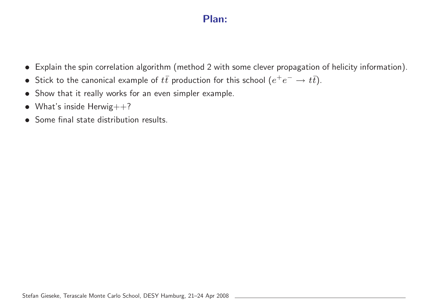### Plan:

- Explain the spin correlation algorithm (method <sup>2</sup> with some clever propagation of helicity information).
- Stick to the canonical example of  $t\bar{t}$  production for this school  $(e^+e^-\rightarrow t\bar{t})$ .
- Show that it really works for an even simpler example.
- What's inside Herwig $++?$
- Some final state distribution results.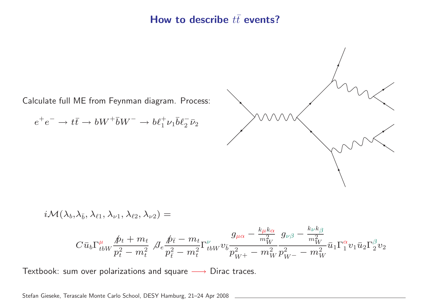### How to describe  $t\bar{t}$  events?

Calculate full ME from Feynman diagram. Process:

$$
e^+e^- \to t\bar{t} \to bW^+\bar{b}W^- \to b\ell_1^+\nu_1\bar{b}\ell_2^-\bar{\nu}_2
$$

$$
\frac{1}{2}
$$

$$
i\mathcal{M}(\lambda_b,\lambda_{\bar{b}},\lambda_{\ell 1},\lambda_{\nu 1},\lambda_{\ell 2},\lambda_{\nu 2})=\\ C\bar{u}_b\Gamma_{tbW}^\mu\frac{\not p_t+m_t}{p_t^2-m_t^2}\notag\\ J_e\frac{\not p_{\bar{t}}-m_t}{p_{\bar{t}}^2-m_t^2}\Gamma_{tbW}^\nu v_{\bar{b}}\frac{g_{\mu\alpha}-\frac{k_\mu k_\alpha}{m_W^2}}{p_{W^+}^2-m_W^2}\frac{g_{\nu\beta}-\frac{k_\nu k_\beta}{m_W^2}}{p_{W^-}^2-m_W^2}\bar{u}_1\Gamma_1^\alpha v_1\bar{u}_2\Gamma_2^\beta v_2
$$

Textbook: sum over polarizations and square  $\longrightarrow$  Dirac traces.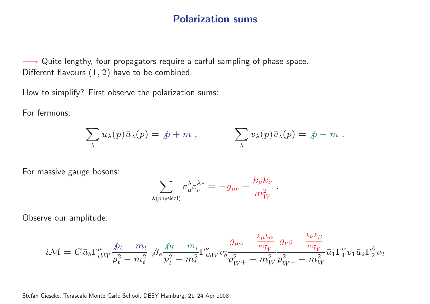#### Polarization sums

→ Quite lengthy, four propagators require a carful sampling of phase space. Different flavours (<sup>1</sup>, <sup>2</sup>) have to be combined.

How to simplify? First observe the polarization sums:

For fermions:

$$
\sum_{\lambda} u_{\lambda}(p) \bar{u}_{\lambda}(p) = p + m , \qquad \sum_{\lambda} v_{\lambda}(p) \bar{v}_{\lambda}(p) = p - m .
$$

For massive gauge bosons:

$$
\sum_{\lambda({\rm physical})} \varepsilon_\mu^\lambda \varepsilon_\nu^{\lambda*} = -g_{\mu\nu} + \frac{k_\mu k_\nu}{m_W^2} \ .
$$

Observe our amplitude:

$$
i{\cal M} = C \bar u_b \Gamma^\mu_{tbW} {\hbar \over p_t^2 - m_t^2} \notag \\ {\cal J}_e {\hbar \over p_{\bar t}^2 - m_t^2} \Gamma^\nu_{tbW} v_{\bar b} {g_{\mu\alpha} - {k_\mu k_\alpha \over m_W^2} \over p_{W^+}^2 - m_W^2} g_{\nu\beta} - {k_\nu k_\beta \over m_W^2} \bar u_1 \Gamma^\alpha_1 v_1 \bar u_2 \Gamma^\beta_2 v_2
$$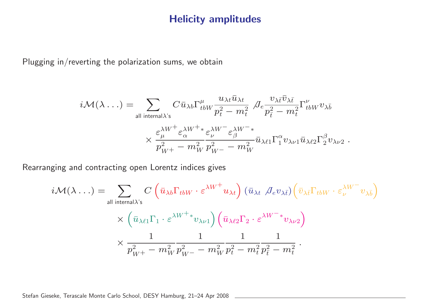#### Helicity amplitudes

Plugging in/reverting the polarization sums, we obtain

$$
i\mathcal{M}(\lambda \ldots) = \sum_{\text{all internal }\lambda\text{'s}} C \bar{u}_{\lambda b} \Gamma^{\mu}_{tbW} \frac{u_{\lambda t} \bar{u}_{\lambda t}}{p_t^2 - m_t^2} \int_{\mathcal{C}} e^{\frac{\mathcal{V}_{\lambda \bar{t}} \bar{\mathcal{V}}_{\lambda \bar{t}}}{p_{\bar{t}}^2 - m_t^2} \Gamma^{\nu}_{tbW} \mathcal{V}_{\lambda \bar{b}}}
$$

$$
\times \frac{\varepsilon_{\mu}^{\lambda W^+} \varepsilon_{\alpha}^{\lambda W^+ *}}{p_{W^+}^2 - m_W^2} \varepsilon_{W^-}^{\lambda W^- *} \bar{u}_{\lambda \ell 1} \Gamma_1^{\alpha} v_{\lambda \nu 1} \bar{u}_{\lambda \ell 2} \Gamma_2^{\beta} v_{\lambda \nu 2}.
$$

Rearranging and contracting open Lorentz indices gives

$$
i\mathcal{M}(\lambda \dots) = \sum_{\text{all internal } \lambda \text{'s}} C \left( \bar{u}_{\lambda b} \Gamma_{tbW} \cdot \varepsilon^{\lambda W^{+}} u_{\lambda t} \right) (\bar{u}_{\lambda t} \not \mathcal{J}_{e} v_{\lambda \bar{t}}) \left( \bar{v}_{\lambda \bar{t}} \Gamma_{tbW} \cdot \varepsilon_{\nu}^{\lambda W^{-}} v_{\lambda \bar{b}} \right)
$$
  
 
$$
\times \left( \bar{u}_{\lambda \ell 1} \Gamma_{1} \cdot \varepsilon^{\lambda W^{+}} v_{\lambda \nu 1} \right) \left( \bar{u}_{\lambda \ell 2} \Gamma_{2} \cdot \varepsilon^{\lambda W^{-}} v_{\lambda \nu 2} \right)
$$
  
 
$$
\times \frac{1}{p_{W^{+}}^{2} - m_{W}^{2}} \frac{1}{p_{W^{-}}^{2} - m_{W}^{2}} \frac{1}{p_{t}^{2} - m_{t}^{2}} \frac{1}{p_{\bar{t}}^{2} - m_{t}^{2}}.
$$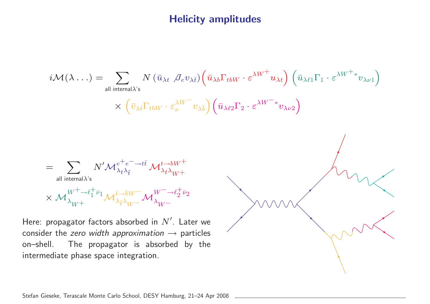### Helicity amplitudes

$$
i\mathcal{M}(\lambda...) = \sum_{\text{all internal }\lambda\text{'s}} N (\bar{u}_{\lambda t} \not R_{e} v_{\lambda t}) (\bar{u}_{\lambda b} \Gamma_{tbW} \cdot \varepsilon^{\lambda W^{+}} u_{\lambda t}) (\bar{u}_{\lambda \ell 1} \Gamma_{1} \cdot \varepsilon^{\lambda W^{+}} v_{\lambda \nu 1})
$$
  
\n
$$
\times (\bar{v}_{\lambda t} \Gamma_{tbW} \cdot \varepsilon^{\lambda W^{-}}_{\nu \lambda b}) (\bar{u}_{\lambda \ell 2} \Gamma_{2} \cdot \varepsilon^{\lambda W^{-}} v_{\lambda \nu 2})
$$
  
\n
$$
= \sum_{\text{all internal }\lambda\text{'s}} N' \mathcal{M}_{\lambda t}^{e^{+}e^{-} \to t\bar{t}} \mathcal{M}_{\lambda t}^{t \to bW^{+}} \mathcal{M}_{\lambda t}^{t \to bW^{+}}
$$
  
\n
$$
\times \mathcal{M}_{\lambda_{W^{+}}}^{W^{+} \to \ell_{1}^{+} v_{1}} \mathcal{M}_{\lambda t}^{\bar{t} \to bW^{-}} \mathcal{M}_{\lambda_{W^{-}}}^{W^{-} \to \ell_{2}^{+} v_{2}}
$$
  
\nHere: propagator factors absorbed in N'. Later we  
\nconsider the zero width approximation  $\to$  particles  
\non-shell. The propagator is absorbed by the  
\nintermediate phase space integration.

Stefan Gieseke, Terascale Monte Carlo School, DESY Hamburg, 21–24 Apr 2008

Here: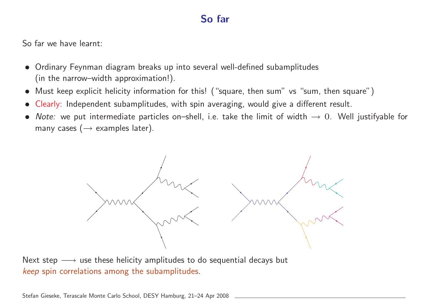### So far

So far we have learnt:

- Ordinary Feynman diagram breaks up into several well-defined subamplitudes (in the narrow–width approximation!).
- Must keep explicit helicity information for this! ("square, then sum" vs "sum, then square")
- Clearly: Independent subamplitudes, with spin averaging, would give <sup>a</sup> different result.
- Note: we put intermediate particles on–shell, i.e. take the limit of width  $\rightarrow 0$ . Well justifyable for many cases  $(\rightarrow$  examples later).



Next step  $\longrightarrow$  use these helicity amplitudes to do sequential decays but keep spin correlations among the subamplitudes.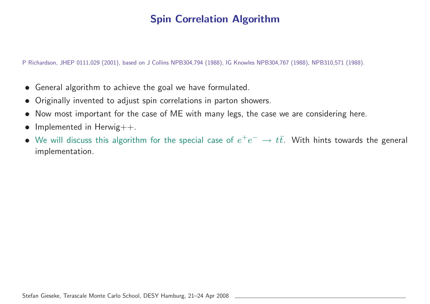<sup>P</sup> Richardson, JHEP 0111,029 (2001), based on J Collins NPB304,794 (1988), IG Knowles NPB304,767 (1988), NPB310,571 (1988).

- General algorithm to achieve the goal we have formulated.
- Originally invented to adjust spin correlations in parton showers.
- Now most important for the case of ME with many legs, the case we are considering here.
- Implemented in Herwig++.
- We will discuss this algorithm for the special case of  $e^+e^- \rightarrow t\bar{t}$ . With hints towards the general implementation.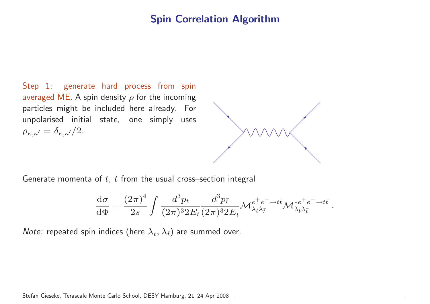Step 1: generate hard process from spin averaged ME. A spin density  $\rho$  for the incoming particles might be included here already. For unpolarised initial state, one simply uses  $\rho_{\kappa,\kappa'} = \delta_{\kappa,\kappa'}/2.$ 



.

Generate momenta of  $t,\,\bar{t}$  from the usual cross—section integral

$$
\frac{d\sigma}{d\Phi} = \frac{(2\pi)^4}{2s} \int \frac{d^3p_t}{(2\pi)^3 2E_t} \frac{d^3p_{\bar{t}}}{(2\pi)^3 2E_{\bar{t}}} \mathcal{M}_{\lambda_t \lambda_{\bar{t}}}^{e^+e^- \to t\bar{t}} \mathcal{M}_{\lambda_t \lambda_{\bar{t}}}^{*e^+e^- \to t\bar{t}}
$$

*Note:* repeated spin indices (here  $\lambda_t, \lambda_{\bar{t}})$  are summed over.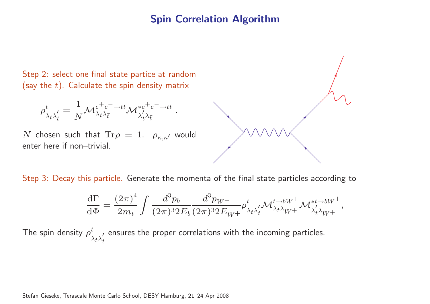Step 2: select one final state partice at random (say the  $t).$  Calculate the spin density matrix

$$
\rho^t_{\lambda_t\lambda_t'}=\frac{1}{N}{\cal M}^{e^+e^-\to t\bar t}_{\lambda_t\lambda_{\bar t}}{\cal M}^{*e^+e^-\to t\bar t}_{\lambda_t'\lambda_{\bar t}}\ .
$$

N chosen such that  $\text{Tr}\rho = 1$ .  $\rho_{\kappa,\kappa'}$  would enter here if non–trivial.

Step 3: Decay this particle. Generate the momenta of the final state particles according to

$$
\frac{\mathrm{d}\Gamma}{\mathrm{d}\Phi}=\frac{(2\pi)^4}{2m_t}\int\frac{d^3p_b}{(2\pi)^3 2E_b}\frac{d^3p_{W^+}}{(2\pi)^3 2E_{W^+}}\rho^t_{\lambda_t\lambda_t'}\mathcal{M}^{t\to bW^+}_{\lambda_t\lambda_{W^+}}\mathcal{M}^{*t\to bW^+}_{\lambda_t'\lambda_{W^+}},
$$

The spin density  $\rho^t_\lambda$  $\lambda_t \lambda_t'$ t ensures the proper correlations with the incoming particles.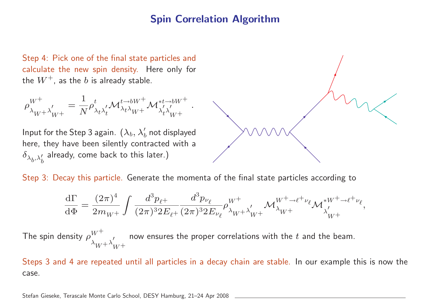Step 4: Pick one of the final state particles and calculate the new spin density. Here only for the  $W^+$ , as the b is already stable.

$$
\rho_{\lambda_W+\lambda'_W+}^{W^+}=\frac{1}{N}\rho_{\lambda_t\lambda'_t}^t\mathcal{M}_{\lambda_t\lambda_W+}^{t\to bW^+}\mathcal{M}_{\lambda'_t\lambda'_W+}^{*t\to bW^+}\;.
$$

Input for the Step 3 again.  $(\lambda_b, \lambda'_b$  not displayed here, they have been silently contracted with <sup>a</sup>  $\delta_{\lambda_b,\lambda'_b}$  already, come back to this later.)

Step 3: Decay this particle. Generate the momenta of the final state particles according to

$$
\frac{{\rm d}\Gamma}{{\rm d}\Phi}=\frac{(2\pi)^4}{2m_W^+}\int\frac{d^3p_{\ell^+}}{(2\pi)^3 2E_{\ell^+}}\frac{d^3p_{\nu_\ell}}{(2\pi)^3 2E_{\nu_\ell}}\rho_{\lambda_W+}^{W^+}\nonumber\\ \lambda'_W+\lambda'_W+\lambda''^{\mu^+ \to \ell^+ \nu_\ell}\mathcal{M}_{\lambda'_W+}^{*W^+ \to \ell^+ \nu_\ell},
$$

The spin density  $\rho_{\lambda}^{W^+}$ <sub>A</sub>' now ensures the proper correlations with the t and the beam.

Steps 3 and 4 are repeated until all particles in <sup>a</sup> decay chain are stable. In our example this is now the case.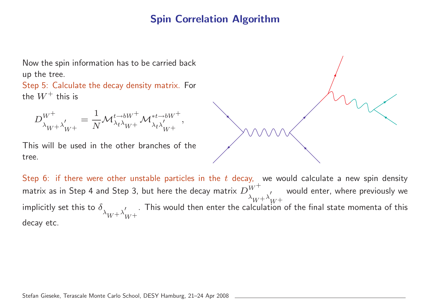Now the spin information has to be carried back up the tree.

Step 5: Calculate the decay density matrix. For the  $W^+$  this is

 $D^{W^+}$  $\frac{W}{\lambda_W+\lambda_W'+} =$ 1  $\frac{1}{N} {\cal M}^{t\to b W^+}_{\lambda_t\lambda_{W^+}} {\cal M}^{*t\to b W^+}_{\lambda_t\lambda_{W^+}'},$ 

This will be used in the other branches of the tree.

Step 6: if there were other unstable particles in the  $t$  decay, we would calculate a new spin density matrix as in Step 4 and Step 3, but here the decay matrix  $D_{\lambda_W+\lambda'_W+}^{\tilde{W}^+}$  would enter, where previously we implicitly set this to  $\delta_{\lambda_{W^+}\lambda'_{W^+}}$ . This would then enter the calculation of the final state momenta of this decay etc.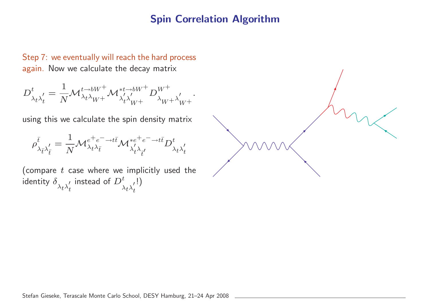.

Step 7: we eventually will reach the hard process again. Now we calculate the decay matrix

$$
D^t_{\lambda_t\lambda_t'}=\frac{1}{N}\mathcal{M}^{t\to bW^+}_{\lambda_t\lambda_{W^+}}\mathcal{M}^{*t\to bW^+}_{\lambda_t'\lambda_{W^+}'}D^{W^+}_{\lambda_{W^+}\lambda_{W^+}'}
$$

using this we calculate the spin density matrix

$$
\rho^{\bar{t}}_{\lambda_{\bar{t}}\lambda'_{\bar{t}}}=\frac{1}{N}\mathcal{M}^{e^+e^-\to t\bar{t}}_{\lambda_t\lambda_{\bar{t}}} \mathcal{M}^{*e^+e^-\to t\bar{t}}_{\lambda'_t\lambda'_{\bar{t}}}\tD^t_{\lambda_t\lambda'_{\bar{t}}}
$$

(compare  $t$  case where we implicitly used the identity  $\delta$  $\lambda_t \lambda_t'$ t instead of  $D^t$  $\lambda_t \lambda_t'$ t !)

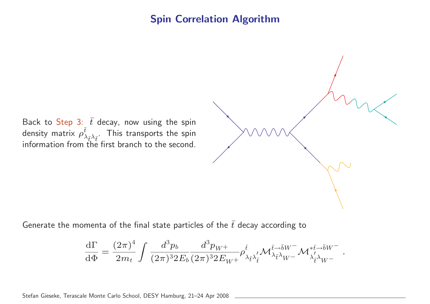Back to  $\mathsf{Step}$  3:  $\,\bar{t}\,$  decay, now using the spin density matrix  $\rho_{\lambda}^{\bar{t}}$  $\lambda_{\bar t}$ density matrix  $\rho^\iota_{\lambda_{\bar t}\lambda_{\bar t}}$ . This transports the spin<br>information from the first branch to the second.

Generate the momenta of the final state particles of the  $\bar{t}$  decay according to

$$
\frac{\mathrm{d}\Gamma}{\mathrm{d}\Phi}=\frac{(2\pi)^4}{2m_t}\int\frac{d^3p_b}{(2\pi)^3 2E_b}\frac{d^3p_{W^+}}{(2\pi)^3 2E_{W^+}}\rho^{\bar t}_{\lambda_{\bar t}\lambda'_{\bar t}}\mathcal{M}^{\bar t\to\bar bW^-}_{\lambda_{\bar t}\lambda_{W^-}}\mathcal{M}^{*\bar t\to\bar bW^-}_{\lambda'_{\bar t}\lambda_{W^-}}
$$

.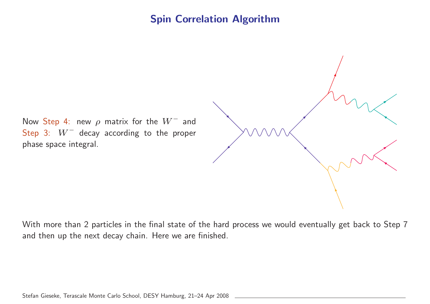Now Step 4: new  $\rho$  matrix for the  $W^-$  and Step 3:  $W^-$  decay according to the proper phase space integral.

With more than 2 particles in the final state of the hard process we would eventually get back to Step 7 and then up the next decay chain. Here we are finished.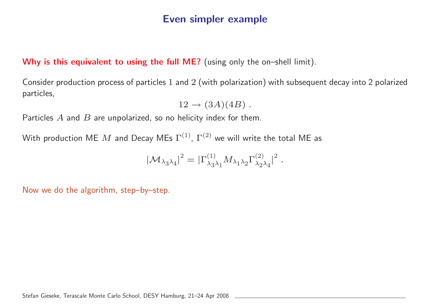#### Why is this equivalent to using the full ME? (using only the on-shell limit).

Consider production process of particles <sup>1</sup> and <sup>2</sup> (with polarization) with subsequent decay into <sup>2</sup> polarized particles,

$$
12 \rightarrow (3A)(4B) .
$$

Particles  $A$  and  $B$  are unpolarized, so no helicity index for them.

With production ME M and Decay MEs  $\Gamma^{(1)}$ ,  $\Gamma^{(2)}$  we will write the total ME as

$$
|\mathcal{M}_{\lambda_3\lambda_4}|^2 = |\Gamma^{(1)}_{\lambda_3\lambda_1} M_{\lambda_1\lambda_2} \Gamma^{(2)}_{\lambda_2\lambda_4}|^2.
$$

Now we do the algorithm, step–by–step.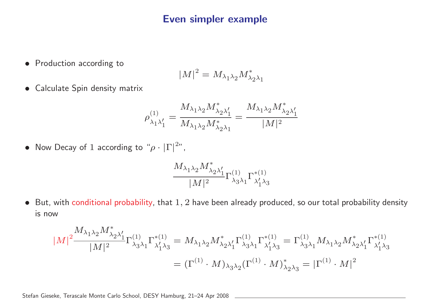• Production according to

$$
\left|M\right|^2=M_{\lambda_1\lambda_2}M_{\lambda_2\lambda_1}^*
$$

• Calculate Spin density matrix

$$
\rho_{\lambda_1\lambda_1'}^{(1)}=\frac{M_{\lambda_1\lambda_2}M_{\lambda_2\lambda_1'}}{M_{\lambda_1\lambda_2}M_{\lambda_2\lambda_1}}=\frac{M_{\lambda_1\lambda_2}M_{\lambda_2\lambda_1'}}{|M|^2}
$$

• Now Decay of 1 according to " $\rho \cdot |\Gamma|^{2n}$ ,

$$
\frac{M_{\lambda_1\lambda_2}M_{\lambda_2\lambda_1'}}{|M|^2}\Gamma^{(1)}_{\lambda_3\lambda_1}\Gamma^{*(1)}_{\lambda_1'\lambda_3}
$$

 $\bullet$  But, with conditional probability, that  $1,2$  have been already produced, so our total probability density is now

$$
|M|^2 \frac{M_{\lambda_1 \lambda_2} M_{\lambda_2 \lambda'_1}^*}{|M|^2} \Gamma^{(1)}_{\lambda_3 \lambda_1} \Gamma^{*(1)}_{\lambda'_1 \lambda_3} = M_{\lambda_1 \lambda_2} M_{\lambda_2 \lambda'_1}^* \Gamma^{(1)}_{\lambda_3 \lambda_1} \Gamma^{*(1)}_{\lambda'_1 \lambda_3} = \Gamma^{(1)}_{\lambda_3 \lambda_1} M_{\lambda_1 \lambda_2} M_{\lambda_2 \lambda'_1}^* \Gamma^{*(1)}_{\lambda'_1 \lambda_3}
$$
  
= 
$$
(\Gamma^{(1)} \cdot M)_{\lambda_3 \lambda_2} (\Gamma^{(1)} \cdot M)_{\lambda_2 \lambda_3}^* = |\Gamma^{(1)} \cdot M|^2
$$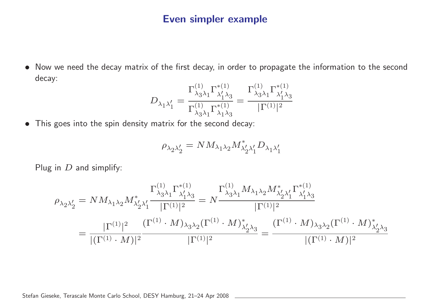• Now we need the decay matrix of the first decay, in order to propagate the information to the second decay:

$$
D_{\lambda_1 \lambda_1'} = \frac{\Gamma^{(1)}_{\lambda_3 \lambda_1} \Gamma^{* (1)}_{\lambda_1' \lambda_3}}{\Gamma^{(1)}_{\lambda_3 \lambda_1} \Gamma^{* (1)}_{\lambda_1 \lambda_3}} = \frac{\Gamma^{(1)}_{\lambda_3 \lambda_1} \Gamma^{* (1)}_{\lambda_1' \lambda_3}}{|\Gamma^{(1)}|^2}
$$

• This goes into the spin density matrix for the second decay:

$$
\rho_{\lambda_2\lambda_2'}=NM_{\lambda_1\lambda_2}M_{\lambda_2'\lambda_1'}^*D_{\lambda_1\lambda_1'}
$$

Plug in  $D$  and simplify:

$$
\rho_{\lambda_2\lambda_2'} = NM_{\lambda_1\lambda_2}M_{\lambda_2'\lambda_1'}^* \frac{\Gamma_{\lambda_3\lambda_1}^{(1)}\Gamma_{\lambda_1'\lambda_3}^{*(1)}}{|\Gamma^{(1)}|^2} = N \frac{\Gamma_{\lambda_3\lambda_1}^{(1)}M_{\lambda_1\lambda_2}M_{\lambda_2'\lambda_1'}^* \Gamma_{\lambda_1'\lambda_3}^{*(1)}}{|\Gamma^{(1)}|^2}
$$
\n
$$
= \frac{|\Gamma^{(1)}|^2}{|(\Gamma^{(1)}\cdot M)|^2} \frac{(\Gamma^{(1)}\cdot M)_{\lambda_3\lambda_2}(\Gamma^{(1)}\cdot M)_{\lambda_2'\lambda_3}^{*}}{|\Gamma^{(1)}|^2} = \frac{(\Gamma^{(1)}\cdot M)_{\lambda_3\lambda_2}(\Gamma^{(1)}\cdot M)_{\lambda_2'\lambda_3}^{*}}{|\Gamma^{(1)}|^2}
$$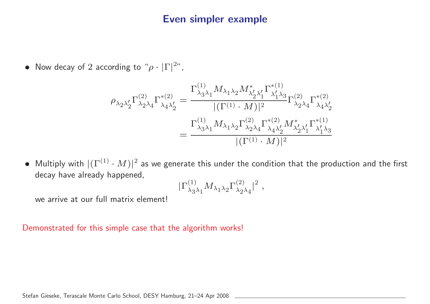• Now decay of 2 according to " $\rho \cdot |\Gamma|^{2n}$ ,

$$
\begin{split} \rho_{\lambda_2\lambda_2'} \Gamma^{(2)}_{\lambda_2\lambda_4} \Gamma^{*(2)}_{\lambda_4\lambda_2'} &= \frac{\Gamma^{(1)}_{\lambda_3\lambda_1} M_{\lambda_1\lambda_2} M_{\lambda_2'\lambda_1'}^* \Gamma^{*(1)}_{\lambda_1'\lambda_3}}{|(\Gamma^{(1)}\cdot M)|^2} \Gamma^{(2)}_{\lambda_2\lambda_4} \Gamma^{*(2)}_{\lambda_4\lambda_2'} \\ &= \frac{\Gamma^{(1)}_{\lambda_3\lambda_1} M_{\lambda_1\lambda_2} \Gamma^{(2)}_{\lambda_2\lambda_4} \Gamma^{*(2)}_{\lambda_4\lambda_2'} M_{\lambda_2'\lambda_1'}^* \Gamma^{*(1)}_{\lambda_1'\lambda_3}}{|(\Gamma^{(1)}\cdot M)|^2} \end{split}
$$

• Multiply with  $|(\Gamma^{(1)}\cdot M)|^2$  as we generate this under the condition that the production and the first decay have already happened,

$$
|\Gamma_{\lambda_3\lambda_1}^{(1)}M_{\lambda_1\lambda_2}\Gamma_{\lambda_2\lambda_4}^{(2)}|^2\;,
$$

we arrive at our full matrix element!

Demonstrated for this simple case that the algorithm works!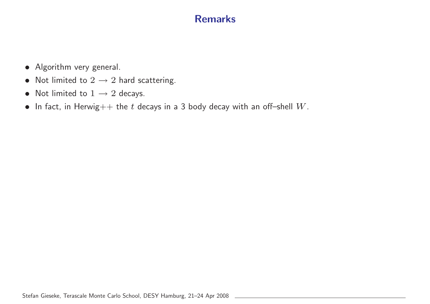### Remarks

- Algorithm very general.
- Not limited to  $2 \rightarrow 2$  hard scattering.
- Not limited to  $1 \rightarrow 2$  decays.
- In fact, in Herwig $++$  the  $t$  decays in a 3 body decay with an off-shell  $W$ .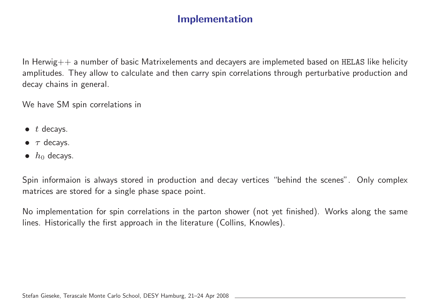### Implementation

In Herwig $++$  a number of basic Matrixelements and decayers are implemeted based on HELAS like helicity amplitudes. They allow to calculate and then carry spin correlations through perturbative production and decay chains in general.

We have SM spin correlations in

- $\bullet$  t decays.
- $\bullet$   $\tau$  decays.
- $h_0$  decays.

Spin informaion is always stored in production and decay vertices "behind the scenes". Only complex matrices are stored for <sup>a</sup> single phase space point.

No implementation for spin correlations in the parton shower (not yet finished). Works along the same lines. Historically the first approach in the literature (Collins, Knowles).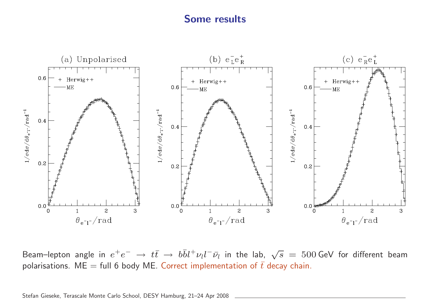#### Some results



Beam–lepton angle in  $e^+e^-\to t\bar t\to b\bar b l^+\nu_l l^-\bar\nu_l$  in the lab,  $\sqrt s\,=\,500$  GeV for different beam polarisations. ME = full 6 body ME. Correct implementation of  $\bar{t}$  decay chain.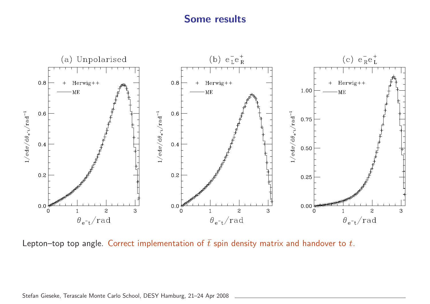#### Some results



Lepton–top top angle. Correct implementation of  $\bar{t}$  spin density matrix and handover to t.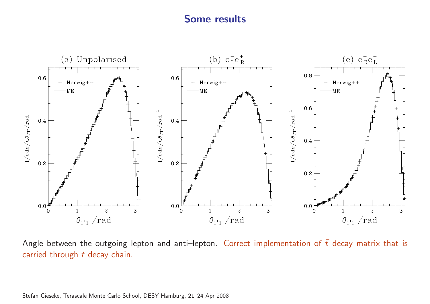### Some results



Angle between the outgoing lepton and anti–lepton. Correct implementation of  $\bar{t}$  decay matrix that is carried through  $t$  decay chain.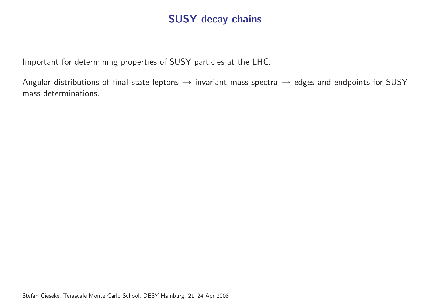### SUSY decay chains

Important for determining properties of SUSY particles at the LHC.

Angular distributions of final state leptons  $\rightarrow$  invariant mass spectra  $\rightarrow$  edges and endpoints for SUSY mass determinations.